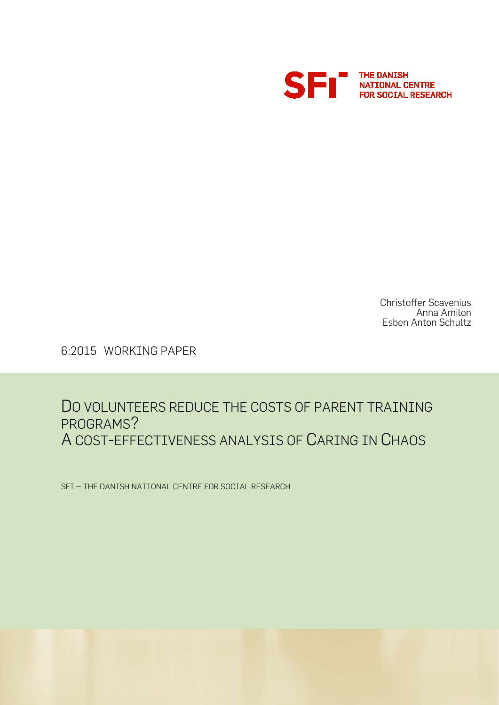

Christoffer Scavenius Anna Amilon Esben Anton Schultz

6:2015 WORKING PAPER

## DO VOLUNTEERS REDUCE THE COSTS OF PARENT TRAINING PROGRAMS? A COST-EFFECTIVENESS ANALYSIS OF CARING IN CHAOS

SFI – THE DANISH NATIONAL CENTRE FOR SOCIAL RESEARCH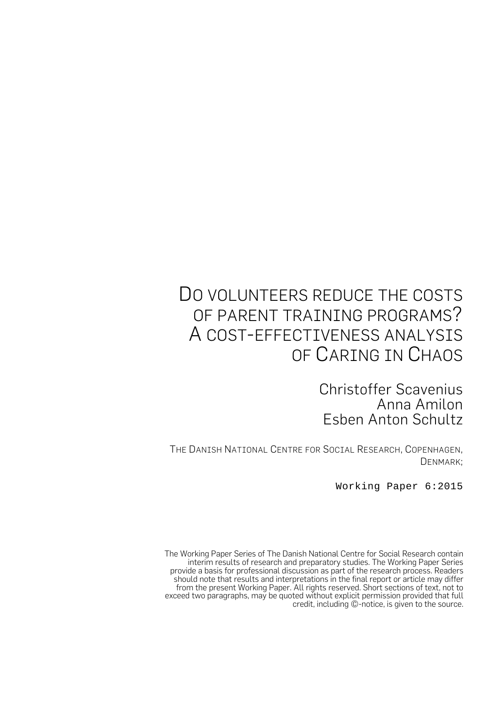# DO VOLUNTEERS REDUCE THE COSTS OF PARENT TRAINING PROGRAMS? A COST-EFFECTIVENESS ANALYSIS OF CARING IN CHAOS

Christoffer Scavenius Anna Amilon Esben Anton Schultz

THE DANISH NATIONAL CENTRE FOR SOCIAL RESEARCH, COPENHAGEN, DENMARK;

Working Paper 6:2015

The Working Paper Series of The Danish National Centre for Social Research contain interim results of research and preparatory studies. The Working Paper Series provide a basis for professional discussion as part of the research process. Readers should note that results and interpretations in the final report or article may differ from the present Working Paper. All rights reserved. Short sections of text, not to exceed two paragraphs, may be quoted without explicit permission provided that full credit, including ©-notice, is given to the source.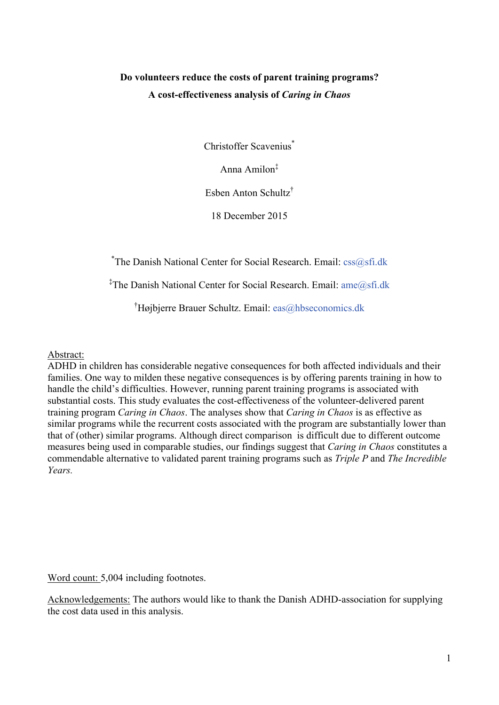### **Do volunteers reduce the costs of parent training programs? A cost-effectiveness analysis of** *Caring in Chaos*

Christoffer Scavenius<sup>\*</sup>

Anna Amilon‡

Esben Anton Schultz†

18 December 2015

\* The Danish National Center for Social Research. Email: [css@sfi.dk](mailto:css@sfi.dk)

‡ The Danish National Center for Social Research. Email: [ame@sfi.dk](mailto:ame@sfi.dk)

† Højbjerre Brauer Schultz. Email: [eas@hbseconomics.dk](mailto:eas@hbseconomics.dk)

Abstract:

ADHD in children has considerable negative consequences for both affected individuals and their families. One way to milden these negative consequences is by offering parents training in how to handle the child's difficulties. However, running parent training programs is associated with substantial costs. This study evaluates the cost-effectiveness of the volunteer-delivered parent training program *Caring in Chaos*. The analyses show that *Caring in Chaos* is as effective as similar programs while the recurrent costs associated with the program are substantially lower than that of (other) similar programs. Although direct comparison is difficult due to different outcome measures being used in comparable studies, our findings suggest that *Caring in Chaos* constitutes a commendable alternative to validated parent training programs such as *Triple P* and *The Incredible Years.*

Word count: 5,004 including footnotes.

Acknowledgements: The authors would like to thank the Danish ADHD-association for supplying the cost data used in this analysis.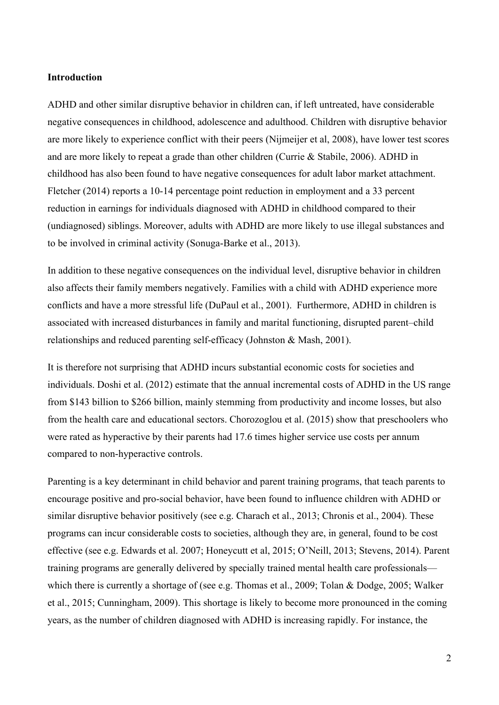#### **Introduction**

ADHD and other similar disruptive behavior in children can, if left untreated, have considerable negative consequences in childhood, adolescence and adulthood. Children with disruptive behavior are more likely to experience conflict with their peers (Nijmeijer et al, 2008), have lower test scores and are more likely to repeat a grade than other children (Currie & Stabile, 2006). ADHD in childhood has also been found to have negative consequences for adult labor market attachment. Fletcher (2014) reports a 10-14 percentage point reduction in employment and a 33 percent reduction in earnings for individuals diagnosed with ADHD in childhood compared to their (undiagnosed) siblings. Moreover, adults with ADHD are more likely to use illegal substances and to be involved in criminal activity (Sonuga-Barke et al., 2013).

In addition to these negative consequences on the individual level, disruptive behavior in children also affects their family members negatively. Families with a child with ADHD experience more conflicts and have a more stressful life (DuPaul et al., 2001). Furthermore, ADHD in children is associated with increased disturbances in family and marital functioning, disrupted parent–child relationships and reduced parenting self-efficacy (Johnston & Mash, 2001).

It is therefore not surprising that ADHD incurs substantial economic costs for societies and individuals. Doshi et al. (2012) estimate that the annual incremental costs of ADHD in the US range from \$143 billion to \$266 billion, mainly stemming from productivity and income losses, but also from the health care and educational sectors. Chorozoglou et al. (2015) show that preschoolers who were rated as hyperactive by their parents had 17.6 times higher service use costs per annum compared to non-hyperactive controls.

Parenting is a key determinant in child behavior and parent training programs, that teach parents to encourage positive and pro-social behavior, have been found to influence children with ADHD or similar disruptive behavior positively (see e.g. Charach et al., 2013; Chronis et al., 2004). These programs can incur considerable costs to societies, although they are, in general, found to be cost effective (see e.g. Edwards et al. 2007; Honeycutt et al, 2015; O'Neill, 2013; Stevens, 2014). Parent training programs are generally delivered by specially trained mental health care professionals which there is currently a shortage of (see e.g. Thomas et al., 2009; Tolan & Dodge, 2005; Walker et al., 2015; Cunningham, 2009). This shortage is likely to become more pronounced in the coming years, as the number of children diagnosed with ADHD is increasing rapidly. For instance, the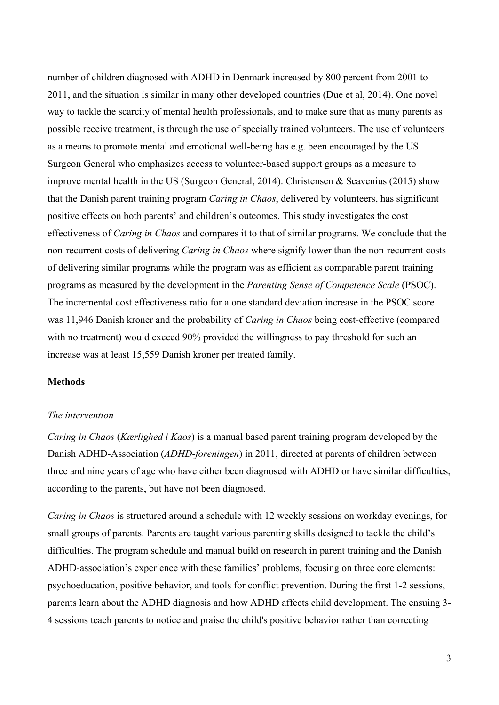number of children diagnosed with ADHD in Denmark increased by 800 percent from 2001 to 2011, and the situation is similar in many other developed countries (Due et al, 2014). One novel way to tackle the scarcity of mental health professionals, and to make sure that as many parents as possible receive treatment, is through the use of specially trained volunteers. The use of volunteers as a means to promote mental and emotional well-being has e.g. been encouraged by the US Surgeon General who emphasizes access to volunteer-based support groups as a measure to improve mental health in the US (Surgeon General, 2014). Christensen & Scavenius (2015) show that the Danish parent training program *Caring in Chaos*, delivered by volunteers, has significant positive effects on both parents' and children's outcomes. This study investigates the cost effectiveness of *Caring in Chaos* and compares it to that of similar programs. We conclude that the non-recurrent costs of delivering *Caring in Chaos* where signify lower than the non-recurrent costs of delivering similar programs while the program was as efficient as comparable parent training programs as measured by the development in the *Parenting Sense of Competence Scale* (PSOC). The incremental cost effectiveness ratio for a one standard deviation increase in the PSOC score was 11,946 Danish kroner and the probability of *Caring in Chaos* being cost-effective (compared with no treatment) would exceed 90% provided the willingness to pay threshold for such an increase was at least 15,559 Danish kroner per treated family.

#### **Methods**

#### *The intervention*

*Caring in Chaos* (*Kærlighed i Kaos*) is a manual based parent training program developed by the Danish ADHD-Association (*ADHD-foreningen*) in 2011, directed at parents of children between three and nine years of age who have either been diagnosed with ADHD or have similar difficulties, according to the parents, but have not been diagnosed.

*Caring in Chaos* is structured around a schedule with 12 weekly sessions on workday evenings, for small groups of parents. Parents are taught various parenting skills designed to tackle the child's difficulties. The program schedule and manual build on research in parent training and the Danish ADHD-association's experience with these families' problems, focusing on three core elements: psychoeducation, positive behavior, and tools for conflict prevention. During the first 1-2 sessions, parents learn about the ADHD diagnosis and how ADHD affects child development. The ensuing 3- 4 sessions teach parents to notice and praise the child's positive behavior rather than correcting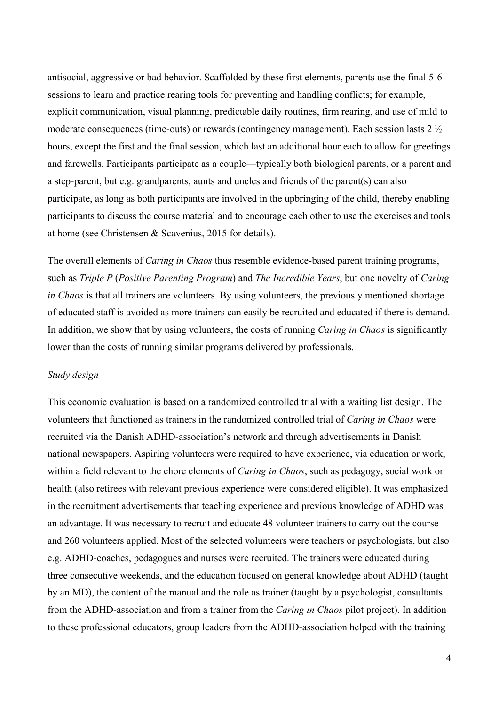antisocial, aggressive or bad behavior. Scaffolded by these first elements, parents use the final 5-6 sessions to learn and practice rearing tools for preventing and handling conflicts; for example, explicit communication, visual planning, predictable daily routines, firm rearing, and use of mild to moderate consequences (time-outs) or rewards (contingency management). Each session lasts 2 ½ hours, except the first and the final session, which last an additional hour each to allow for greetings and farewells. Participants participate as a couple—typically both biological parents, or a parent and a step-parent, but e.g. grandparents, aunts and uncles and friends of the parent(s) can also participate, as long as both participants are involved in the upbringing of the child, thereby enabling participants to discuss the course material and to encourage each other to use the exercises and tools at home (see Christensen & Scavenius, 2015 for details).

The overall elements of *Caring in Chaos* thus resemble evidence-based parent training programs, such as *Triple P* (*Positive Parenting Program*) and *The Incredible Years*, but one novelty of *Caring in Chaos* is that all trainers are volunteers. By using volunteers, the previously mentioned shortage of educated staff is avoided as more trainers can easily be recruited and educated if there is demand. In addition, we show that by using volunteers, the costs of running *Caring in Chaos* is significantly lower than the costs of running similar programs delivered by professionals.

#### *Study design*

This economic evaluation is based on a randomized controlled trial with a waiting list design. The volunteers that functioned as trainers in the randomized controlled trial of *Caring in Chaos* were recruited via the Danish ADHD-association's network and through advertisements in Danish national newspapers. Aspiring volunteers were required to have experience, via education or work, within a field relevant to the chore elements of *Caring in Chaos*, such as pedagogy, social work or health (also retirees with relevant previous experience were considered eligible). It was emphasized in the recruitment advertisements that teaching experience and previous knowledge of ADHD was an advantage. It was necessary to recruit and educate 48 volunteer trainers to carry out the course and 260 volunteers applied. Most of the selected volunteers were teachers or psychologists, but also e.g. ADHD-coaches, pedagogues and nurses were recruited. The trainers were educated during three consecutive weekends, and the education focused on general knowledge about ADHD (taught by an MD), the content of the manual and the role as trainer (taught by a psychologist, consultants from the ADHD-association and from a trainer from the *Caring in Chaos* pilot project). In addition to these professional educators, group leaders from the ADHD-association helped with the training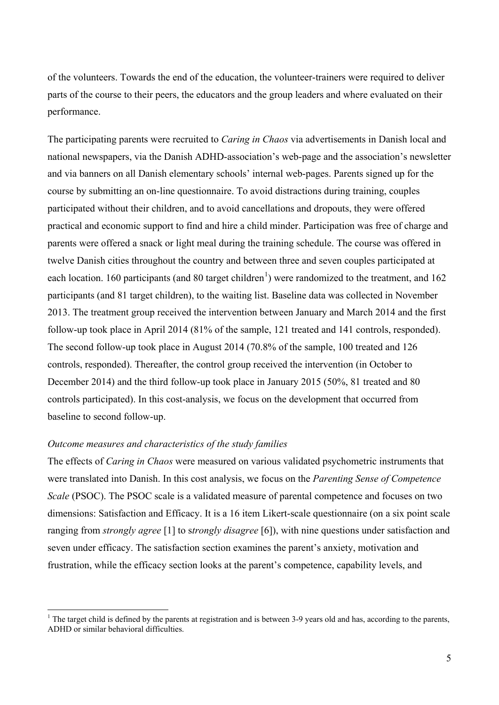of the volunteers. Towards the end of the education, the volunteer-trainers were required to deliver parts of the course to their peers, the educators and the group leaders and where evaluated on their performance.

The participating parents were recruited to *Caring in Chaos* via advertisements in Danish local and national newspapers, via the Danish ADHD-association's web-page and the association's newsletter and via banners on all Danish elementary schools' internal web-pages. Parents signed up for the course by submitting an on-line questionnaire. To avoid distractions during training, couples participated without their children, and to avoid cancellations and dropouts, they were offered practical and economic support to find and hire a child minder. Participation was free of charge and parents were offered a snack or light meal during the training schedule. The course was offered in twelve Danish cities throughout the country and between three and seven couples participated at each location. [1](#page-6-0)60 participants (and 80 target children<sup>1</sup>) were randomized to the treatment, and 162 participants (and 81 target children), to the waiting list. Baseline data was collected in November 2013. The treatment group received the intervention between January and March 2014 and the first follow-up took place in April 2014 (81% of the sample, 121 treated and 141 controls, responded). The second follow-up took place in August 2014 (70.8% of the sample, 100 treated and 126 controls, responded). Thereafter, the control group received the intervention (in October to December 2014) and the third follow-up took place in January 2015 (50%, 81 treated and 80 controls participated). In this cost-analysis, we focus on the development that occurred from baseline to second follow-up.

#### *Outcome measures and characteristics of the study families*

The effects of *Caring in Chaos* were measured on various validated psychometric instruments that were translated into Danish. In this cost analysis, we focus on the *Parenting Sense of Competence Scale* (PSOC). The PSOC scale is a validated measure of parental competence and focuses on two dimensions: Satisfaction and Efficacy. It is a 16 item Likert-scale questionnaire (on a six point scale ranging from *strongly agree* [1] to s*trongly disagree* [6]), with nine questions under satisfaction and seven under efficacy. The satisfaction section examines the parent's anxiety, motivation and frustration, while the efficacy section looks at the parent's competence, capability levels, and

<span id="page-6-0"></span><sup>&</sup>lt;sup>1</sup> The target child is defined by the parents at registration and is between 3-9 years old and has, according to the parents, ADHD or similar behavioral difficulties.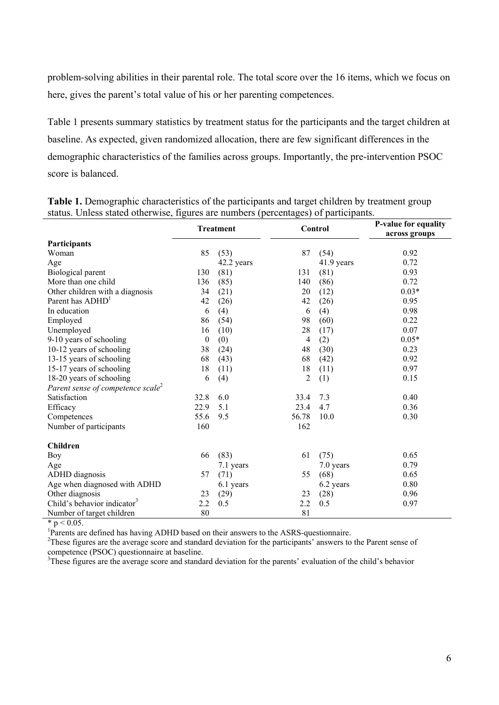problem-solving abilities in their parental role. The total score over the 16 items, which we focus on here, gives the parent's total value of his or her parenting competences.

Table 1 presents summary statistics by treatment status for the participants and the target children at baseline. As expected, given randomized allocation, there are few significant differences in the demographic characteristics of the families across groups. Importantly, the pre-intervention PSOC score is balanced.

| siatus. Omess siated omei wise, figures are numbers (percentages) of participants. |              |                  |         |            |                      |  |
|------------------------------------------------------------------------------------|--------------|------------------|---------|------------|----------------------|--|
|                                                                                    |              | <b>Treatment</b> | Control |            | P-value for equality |  |
|                                                                                    |              |                  |         |            | across groups        |  |
| Participants                                                                       |              |                  |         |            |                      |  |
| Woman                                                                              | 85           | (53)             | 87      | (54)       | 0.92                 |  |
| Age                                                                                |              | 42.2 years       |         | 41.9 years | 0.72                 |  |
| Biological parent                                                                  | 130          | (81)             | 131     | (81)       | 0.93                 |  |
| More than one child                                                                | 136          | (85)             | 140     | (86)       | 0.72                 |  |
| Other children with a diagnosis                                                    | 34           | (21)             | 20      | (12)       | $0.03*$              |  |
| Parent has ADHD <sup>1</sup>                                                       | 42           | (26)             | 42      | (26)       | 0.95                 |  |
| In education                                                                       | 6            | (4)              | 6       | (4)        | 0.98                 |  |
| Employed                                                                           | 86           | (54)             | 98      | (60)       | 0.22                 |  |
| Unemployed                                                                         | 16           | (10)             | 28      | (17)       | 0.07                 |  |
| 9-10 years of schooling                                                            | $\mathbf{0}$ | (0)              | 4       | (2)        | $0.05*$              |  |
| 10-12 years of schooling                                                           | 38           | (24)             | 48      | (30)       | 0.23                 |  |
| 13-15 years of schooling                                                           | 68           | (43)             | 68      | (42)       | 0.92                 |  |
| 15-17 years of schooling                                                           | 18           | (11)             | 18      | (11)       | 0.97                 |  |
| 18-20 years of schooling                                                           | 6            | (4)              | 2       | (1)        | 0.15                 |  |
| Parent sense of competence scale <sup>2</sup>                                      |              |                  |         |            |                      |  |
| Satisfaction                                                                       | 32.8         | 6.0              | 33.4    | 7.3        | 0.40                 |  |
| Efficacy                                                                           | 22.9         | 5.1              | 23.4    | 4.7        | 0.36                 |  |
| Competences                                                                        | 55.6         | 9.5              | 56.78   | 10.0       | 0.30                 |  |
| Number of participants                                                             | 160          |                  | 162     |            |                      |  |
| <b>Children</b>                                                                    |              |                  |         |            |                      |  |
| <b>Boy</b>                                                                         | 66           | (83)             | 61      | (75)       | 0.65                 |  |
| Age                                                                                |              | 7.1 years        |         | 7.0 years  | 0.79                 |  |
| ADHD diagnosis                                                                     | 57           | (71)             | 55      | (68)       | 0.65                 |  |
| Age when diagnosed with ADHD                                                       |              | 6.1 years        |         | 6.2 years  | 0.80                 |  |
| Other diagnosis                                                                    | 23           | (29)             | 23      | (28)       | 0.96                 |  |
| Child's behavior indicator <sup>3</sup>                                            | 2.2          | 0.5              | 2.2     | 0.5        | 0.97                 |  |
| Number of target children                                                          | 80           |                  | 81      |            |                      |  |

**Table 1.** Demographic characteristics of the participants and target children by treatment group status. Unless stated otherwise, figures are numbers (percentages) of participants.

 $* p < 0.05$ .

<sup>1</sup>Parents are defined has having ADHD based on their answers to the ASRS-questionnaire.<br><sup>2</sup>These figures are the average seers and standard daviation for the perties participants' appurers to

<sup>2</sup>These figures are the average score and standard deviation for the participants' answers to the Parent sense of competence (PSOC) questionnaire at baseline.

<sup>3</sup>These figures are the average score and standard deviation for the parents' evaluation of the child's behavior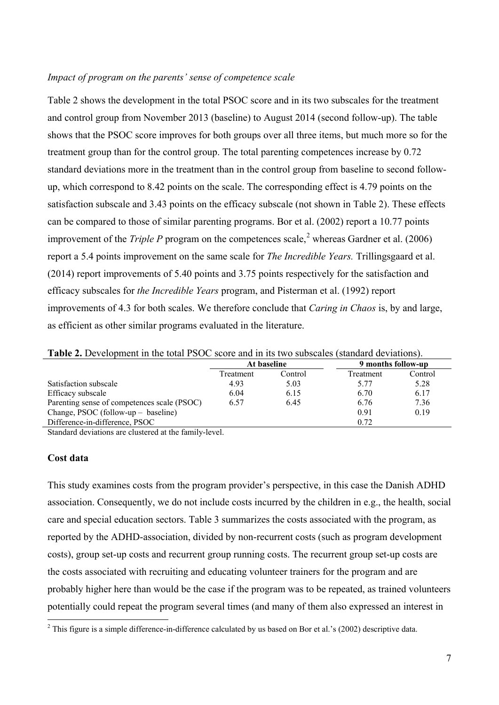#### *Impact of program on the parents' sense of competence scale*

Table 2 shows the development in the total PSOC score and in its two subscales for the treatment and control group from November 2013 (baseline) to August 2014 (second follow-up). The table shows that the PSOC score improves for both groups over all three items, but much more so for the treatment group than for the control group. The total parenting competences increase by 0.72 standard deviations more in the treatment than in the control group from baseline to second followup, which correspond to 8.42 points on the scale. The corresponding effect is 4.79 points on the satisfaction subscale and 3.43 points on the efficacy subscale (not shown in Table 2). These effects can be compared to those of similar parenting programs. Bor et al. (2002) report a 10.77 points improvement of the *Triple P* program on the competences scale, [2](#page-8-0) whereas Gardner et al. (2006) report a 5.4 points improvement on the same scale for *The Incredible Years.* Trillingsgaard et al. (2014) report improvements of 5.40 points and 3.75 points respectively for the satisfaction and efficacy subscales for *the Incredible Years* program, and Pisterman et al. (1992) report improvements of 4.3 for both scales. We therefore conclude that *Caring in Chaos* is, by and large, as efficient as other similar programs evaluated in the literature.

| <b>THEIR FIGURE IS NOT THE LATE OF A SET OF A SET OF A SET OF A SET OF A SET OF A SET OF A SET OF A SET OF A SET O</b> |           |             |                    |         |  |  |  |  |  |
|------------------------------------------------------------------------------------------------------------------------|-----------|-------------|--------------------|---------|--|--|--|--|--|
|                                                                                                                        |           | At baseline | 9 months follow-up |         |  |  |  |  |  |
|                                                                                                                        | Treatment | Control     | Treatment          | Control |  |  |  |  |  |
| Satisfaction subscale                                                                                                  | 4.93      | 5.03        | 5 77               | 5.28    |  |  |  |  |  |
| Efficacy subscale                                                                                                      | 6.04      | 6.15        | 6.70               | 6.17    |  |  |  |  |  |
| Parenting sense of competences scale (PSOC)                                                                            | 6.57      | 6.45        | 6.76               | 7.36    |  |  |  |  |  |
| Change, PSOC (follow-up $-$ baseline)                                                                                  |           |             | 0.91               | 0.19    |  |  |  |  |  |
| Difference-in-difference, PSOC                                                                                         |           |             | 0.72               |         |  |  |  |  |  |

**Table 2.** Development in the total PSOC score and in its two subscales (standard deviations).

Standard deviations are clustered at the family-level.

#### **Cost data**

This study examines costs from the program provider's perspective, in this case the Danish ADHD association. Consequently, we do not include costs incurred by the children in e.g., the health, social care and special education sectors. Table 3 summarizes the costs associated with the program, as reported by the ADHD-association, divided by non-recurrent costs (such as program development costs), group set-up costs and recurrent group running costs. The recurrent group set-up costs are the costs associated with recruiting and educating volunteer trainers for the program and are probably higher here than would be the case if the program was to be repeated, as trained volunteers potentially could repeat the program several times (and many of them also expressed an interest in

<span id="page-8-0"></span><sup>&</sup>lt;sup>2</sup> This figure is a simple difference-in-difference calculated by us based on Bor et al.'s (2002) descriptive data.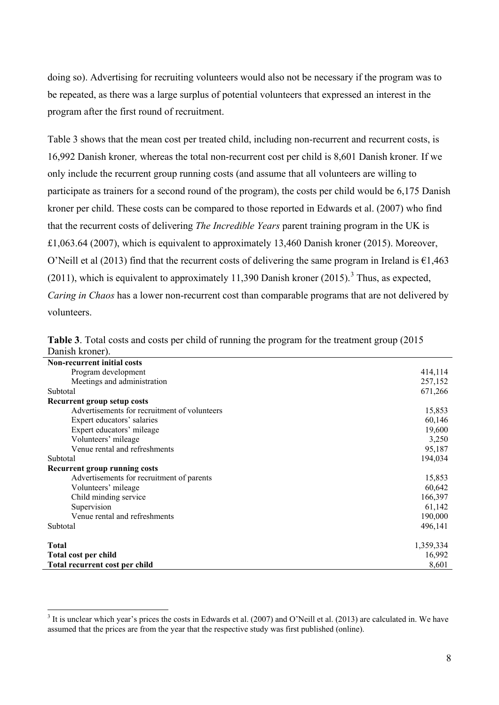doing so). Advertising for recruiting volunteers would also not be necessary if the program was to be repeated, as there was a large surplus of potential volunteers that expressed an interest in the program after the first round of recruitment.

Table 3 shows that the mean cost per treated child, including non-recurrent and recurrent costs, is 16,992 Danish kroner*,* whereas the total non-recurrent cost per child is 8,601 Danish kroner*.* If we only include the recurrent group running costs (and assume that all volunteers are willing to participate as trainers for a second round of the program), the costs per child would be 6,175 Danish kroner per child. These costs can be compared to those reported in Edwards et al. (2007) who find that the recurrent costs of delivering *The Incredible Years* parent training program in the UK is £1,063.64 (2007), which is equivalent to approximately 13,460 Danish kroner (2015). Moreover, O'Neill et al (2013) find that the recurrent costs of delivering the same program in Ireland is  $\epsilon$ 1,463 (2011), which is equivalent to approximately 11,[3](#page-9-0)90 Danish kroner (2015).<sup>3</sup> Thus, as expected, *Caring in Chaos* has a lower non-recurrent cost than comparable programs that are not delivered by volunteers.

| <b>Non-recurrent initial costs</b>           |           |
|----------------------------------------------|-----------|
| Program development                          | 414,114   |
| Meetings and administration                  | 257,152   |
| Subtotal                                     | 671,266   |
| Recurrent group setup costs                  |           |
| Advertisements for recruitment of volunteers | 15,853    |
| Expert educators' salaries                   | 60,146    |
| Expert educators' mileage                    | 19,600    |
| Volunteers' mileage                          | 3,250     |
| Venue rental and refreshments                | 95,187    |
| Subtotal                                     | 194,034   |
| <b>Recurrent group running costs</b>         |           |
| Advertisements for recruitment of parents    | 15,853    |
| Volunteers' mileage                          | 60,642    |
| Child minding service                        | 166,397   |
| Supervision                                  | 61,142    |
| Venue rental and refreshments                | 190,000   |
| Subtotal                                     | 496,141   |
| <b>Total</b>                                 | 1,359,334 |
| Total cost per child                         | 16,992    |
| Total recurrent cost per child               | 8,601     |

|                 |  |  |  |  |  | Table 3. Total costs and costs per child of running the program for the treatment group (2015) |  |
|-----------------|--|--|--|--|--|------------------------------------------------------------------------------------------------|--|
| Danish kroner). |  |  |  |  |  |                                                                                                |  |

<span id="page-9-0"></span> $3$  It is unclear which year's prices the costs in Edwards et al. (2007) and O'Neill et al. (2013) are calculated in. We have assumed that the prices are from the year that the respective study was first published (online).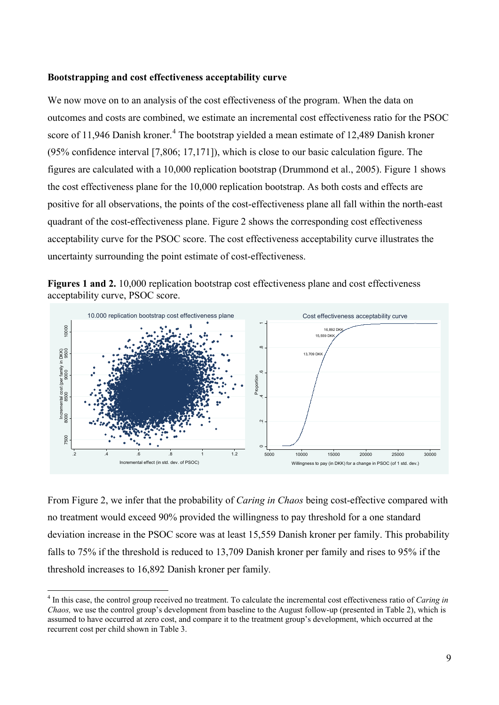#### **Bootstrapping and cost effectiveness acceptability curve**

We now move on to an analysis of the cost effectiveness of the program. When the data on outcomes and costs are combined, we estimate an incremental cost effectiveness ratio for the PSOC score of 11,9[4](#page-10-0)6 Danish kroner.<sup>4</sup> The bootstrap yielded a mean estimate of 12,489 Danish kroner (95% confidence interval [7,806; 17,171]), which is close to our basic calculation figure. The figures are calculated with a 10,000 replication bootstrap (Drummond et al., 2005). Figure 1 shows the cost effectiveness plane for the 10,000 replication bootstrap. As both costs and effects are positive for all observations, the points of the cost-effectiveness plane all fall within the north-east quadrant of the cost-effectiveness plane. Figure 2 shows the corresponding cost effectiveness acceptability curve for the PSOC score. The cost effectiveness acceptability curve illustrates the uncertainty surrounding the point estimate of cost-effectiveness.





From Figure 2, we infer that the probability of *Caring in Chaos* being cost-effective compared with no treatment would exceed 90% provided the willingness to pay threshold for a one standard deviation increase in the PSOC score was at least 15,559 Danish kroner per family. This probability falls to 75% if the threshold is reduced to 13,709 Danish kroner per family and rises to 95% if the threshold increases to 16,892 Danish kroner per family*.*

<span id="page-10-0"></span> <sup>4</sup> In this case, the control group received no treatment. To calculate the incremental cost effectiveness ratio of *Caring in Chaos,* we use the control group's development from baseline to the August follow-up (presented in Table 2), which is assumed to have occurred at zero cost, and compare it to the treatment group's development, which occurred at the recurrent cost per child shown in Table 3.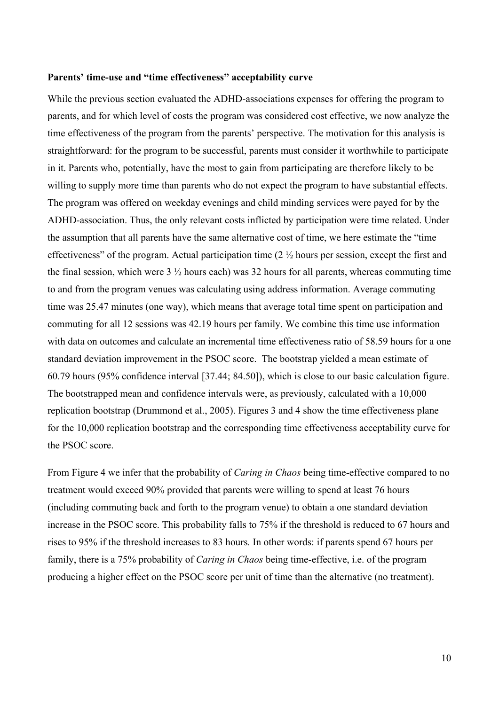#### **Parents' time-use and "time effectiveness" acceptability curve**

While the previous section evaluated the ADHD-associations expenses for offering the program to parents, and for which level of costs the program was considered cost effective, we now analyze the time effectiveness of the program from the parents' perspective. The motivation for this analysis is straightforward: for the program to be successful, parents must consider it worthwhile to participate in it. Parents who, potentially, have the most to gain from participating are therefore likely to be willing to supply more time than parents who do not expect the program to have substantial effects. The program was offered on weekday evenings and child minding services were payed for by the ADHD-association. Thus, the only relevant costs inflicted by participation were time related. Under the assumption that all parents have the same alternative cost of time, we here estimate the "time effectiveness" of the program. Actual participation time (2 ½ hours per session, except the first and the final session, which were  $3\frac{1}{2}$  hours each) was 32 hours for all parents, whereas commuting time to and from the program venues was calculating using address information. Average commuting time was 25.47 minutes (one way), which means that average total time spent on participation and commuting for all 12 sessions was 42.19 hours per family. We combine this time use information with data on outcomes and calculate an incremental time effectiveness ratio of 58.59 hours for a one standard deviation improvement in the PSOC score. The bootstrap yielded a mean estimate of 60.79 hours (95% confidence interval [37.44; 84.50]), which is close to our basic calculation figure. The bootstrapped mean and confidence intervals were, as previously, calculated with a 10,000 replication bootstrap (Drummond et al., 2005). Figures 3 and 4 show the time effectiveness plane for the 10,000 replication bootstrap and the corresponding time effectiveness acceptability curve for the PSOC score.

From Figure 4 we infer that the probability of *Caring in Chaos* being time-effective compared to no treatment would exceed 90% provided that parents were willing to spend at least 76 hours (including commuting back and forth to the program venue) to obtain a one standard deviation increase in the PSOC score. This probability falls to 75% if the threshold is reduced to 67 hours and rises to 95% if the threshold increases to 83 hours*.* In other words: if parents spend 67 hours per family, there is a 75% probability of *Caring in Chaos* being time-effective, i.e. of the program producing a higher effect on the PSOC score per unit of time than the alternative (no treatment).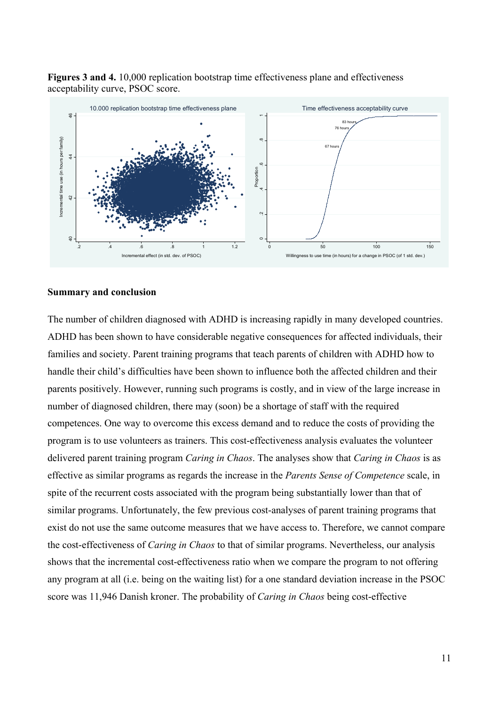**Figures 3 and 4.** 10,000 replication bootstrap time effectiveness plane and effectiveness acceptability curve, PSOC score.



#### **Summary and conclusion**

The number of children diagnosed with ADHD is increasing rapidly in many developed countries. ADHD has been shown to have considerable negative consequences for affected individuals, their families and society. Parent training programs that teach parents of children with ADHD how to handle their child's difficulties have been shown to influence both the affected children and their parents positively. However, running such programs is costly, and in view of the large increase in number of diagnosed children, there may (soon) be a shortage of staff with the required competences. One way to overcome this excess demand and to reduce the costs of providing the program is to use volunteers as trainers. This cost-effectiveness analysis evaluates the volunteer delivered parent training program *Caring in Chaos*. The analyses show that *Caring in Chaos* is as effective as similar programs as regards the increase in the *Parents Sense of Competence* scale, in spite of the recurrent costs associated with the program being substantially lower than that of similar programs. Unfortunately, the few previous cost-analyses of parent training programs that exist do not use the same outcome measures that we have access to. Therefore, we cannot compare the cost-effectiveness of *Caring in Chaos* to that of similar programs. Nevertheless, our analysis shows that the incremental cost-effectiveness ratio when we compare the program to not offering any program at all (i.e. being on the waiting list) for a one standard deviation increase in the PSOC store was 11,946 Danish kroner. The probability of *Caring in* Chaos to that of similar programs. Nevertheles, our and shows that the incremental cost-effective 40 42 44 46 Incremental time use (in the probability of *Ca*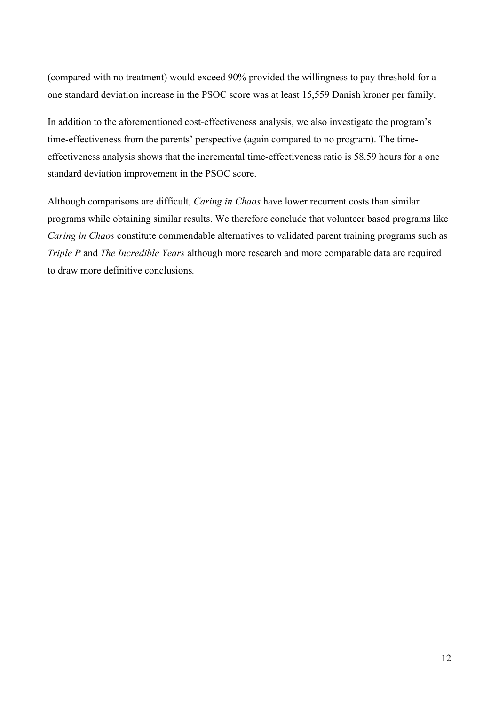(compared with no treatment) would exceed 90% provided the willingness to pay threshold for a one standard deviation increase in the PSOC score was at least 15,559 Danish kroner per family.

In addition to the aforementioned cost-effectiveness analysis, we also investigate the program's time-effectiveness from the parents' perspective (again compared to no program). The timeeffectiveness analysis shows that the incremental time-effectiveness ratio is 58.59 hours for a one standard deviation improvement in the PSOC score.

Although comparisons are difficult, *Caring in Chaos* have lower recurrent costs than similar programs while obtaining similar results. We therefore conclude that volunteer based programs like *Caring in Chaos* constitute commendable alternatives to validated parent training programs such as *Triple P* and *The Incredible Years* although more research and more comparable data are required to draw more definitive conclusions*.*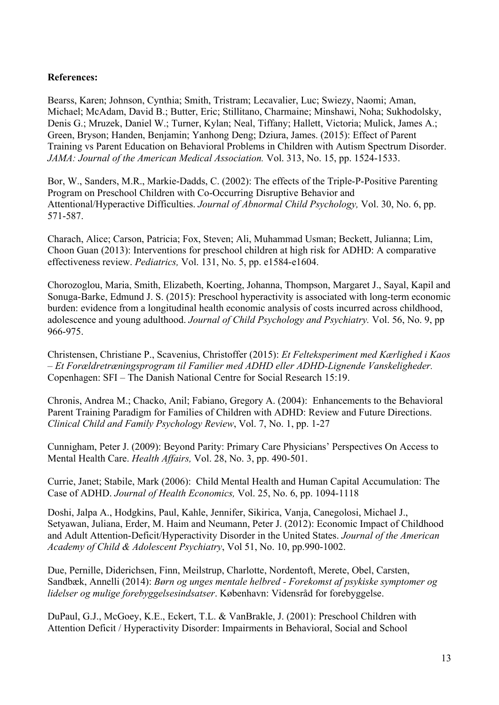#### **References:**

Bearss, Karen; Johnson, Cynthia; Smith, Tristram; Lecavalier, Luc; Swiezy, Naomi; Aman, Michael; McAdam, David B.; Butter, Eric; Stillitano, Charmaine; Minshawi, Noha; Sukhodolsky, Denis G.; Mruzek, Daniel W.; Turner, Kylan; Neal, Tiffany; Hallett, Victoria; Mulick, James A.; Green, Bryson; Handen, Benjamin; Yanhong Deng; Dziura, James. (2015): Effect of Parent Training vs Parent Education on Behavioral Problems in Children with Autism Spectrum Disorder. *JAMA: Journal of the American Medical Association.* Vol. 313, No. 15, pp. 1524-1533.

Bor, W., Sanders, M.R., Markie-Dadds, C. (2002): The effects of the Triple-P-Positive Parenting Program on Preschool Children with Co-Occurring Disruptive Behavior and Attentional/Hyperactive Difficulties. *Journal of Abnormal Child Psychology,* Vol. 30, No. 6, pp. 571-587.

Charach, Alice; Carson, Patricia; Fox, Steven; Ali, Muhammad Usman; Beckett, Julianna; Lim, Choon Guan (2013): [Interventions for preschool children at high risk for ADHD: A comparative](http://web.b.ebscohost.com/ehost/viewarticle?data=dGJyMPPp44rp2%2fdV0%2bnjisfk5Ie46bNJtqeuTbWk63nn5Kx95uXxjL6nrkexpq1KrqezOLawr1C4qLY4v8OkjPDX7Ivf2fKB7eTnfLujskm0rbBIs62wPurX7H%2b72%2bw%2b4ti7iPHv5j7y1%2bVVv8SkeeyzsEivqatJtaqxSKumr06k3O2K69fyVeTr6oTy2%2faM&hid=106)  [effectiveness review.](http://web.b.ebscohost.com/ehost/viewarticle?data=dGJyMPPp44rp2%2fdV0%2bnjisfk5Ie46bNJtqeuTbWk63nn5Kx95uXxjL6nrkexpq1KrqezOLawr1C4qLY4v8OkjPDX7Ivf2fKB7eTnfLujskm0rbBIs62wPurX7H%2b72%2bw%2b4ti7iPHv5j7y1%2bVVv8SkeeyzsEivqatJtaqxSKumr06k3O2K69fyVeTr6oTy2%2faM&hid=106) *Pediatrics,* Vol. 131, No. 5, pp. e1584-e1604.

Chorozoglou, Maria, Smith, Elizabeth, Koerting, Johanna, Thompson, Margaret J., Sayal, Kapil and Sonuga-Barke, Edmund J. S. (2015): Preschool hyperactivity is associated with long-term economic burden: evidence from a longitudinal health economic analysis of costs incurred across childhood, adolescence and young adulthood. *Journal of Child Psychology and Psychiatry.* Vol. 56, No. 9, pp 966-975.

Christensen, Christiane P., Scavenius, Christoffer (2015): *Et Felteksperiment med Kærlighed i Kaos – Et Forældretræningsprogram til Familier med ADHD eller ADHD-Lignende Vanskeligheder.*  Copenhagen: SFI – The Danish National Centre for Social Research 15:19.

Chronis, Andrea M.; Chacko, Anil; Fabiano, Gregory A. (2004): [Enhancements to the Behavioral](http://web.b.ebscohost.com/ehost/viewarticle?data=dGJyMPPp44rp2%2fdV0%2bnjisfk5Ie46bNJtqeuTbWk63nn5Kx95uXxjL6nrkexpq1KrqezOLawr1C4qLY4v8OkjPDX7Ivf2fKB7eTnfLujskm0rbBIs62wPurX7H%2b72%2bw%2b4ti7ffDf4T7y1%2bVVv8Skeeyzw2K1qbBKrq2kfu3o63nys%2bSN6uLyffbq&hid=106)  [Parent Training Paradigm for Families of Children with ADHD: Review and Future Directions.](http://web.b.ebscohost.com/ehost/viewarticle?data=dGJyMPPp44rp2%2fdV0%2bnjisfk5Ie46bNJtqeuTbWk63nn5Kx95uXxjL6nrkexpq1KrqezOLawr1C4qLY4v8OkjPDX7Ivf2fKB7eTnfLujskm0rbBIs62wPurX7H%2b72%2bw%2b4ti7ffDf4T7y1%2bVVv8Skeeyzw2K1qbBKrq2kfu3o63nys%2bSN6uLyffbq&hid=106) *Clinical Child and Family Psychology Review*, Vol. 7, No. 1, pp. 1-27

Cunnigham, Peter J. (2009): Beyond Parity: Primary Care Physicians' Perspectives On Access to Mental Health Care. *Health Affairs,* Vol. 28, No. 3, pp. 490-501.

[Currie, Janet;](javascript:__doLinkPostBack() [Stabile, Mark](javascript:__doLinkPostBack() (2006): Child Mental Health and Human Capital Accumulation: The Case of ADHD. *[Journal of Health Economics,](javascript:__doLinkPostBack()* Vol. 25, No. 6, pp. 1094-1118

Doshi, Jalpa A., Hodgkins, Paul, Kahle, Jennifer, Sikirica, Vanja, Canegolosi, Michael J., Setyawan, Juliana, Erder, M. Haim and Neumann, Peter J. (2012): Economic Impact of Childhood and Adult Attention-Deficit/Hyperactivity Disorder in the United States. *Journal of the American Academy of Child & Adolescent Psychiatry*, Vol 51, No. 10, pp.990-1002.

Due, Pernille, Diderichsen, Finn, Meilstrup, Charlotte, Nordentoft, Merete, Obel, Carsten, Sandbæk, Annelli (2014): *Børn og unges mentale helbred - Forekomst af psykiske symptomer og lidelser og mulige forebyggelsesindsatser*. København: Vidensråd for forebyggelse.

DuPaul, G.J., McGoey, K.E., Eckert, T.L. & VanBrakle, J. (2001): Preschool Children with Attention Deficit / Hyperactivity Disorder: Impairments in Behavioral, Social and School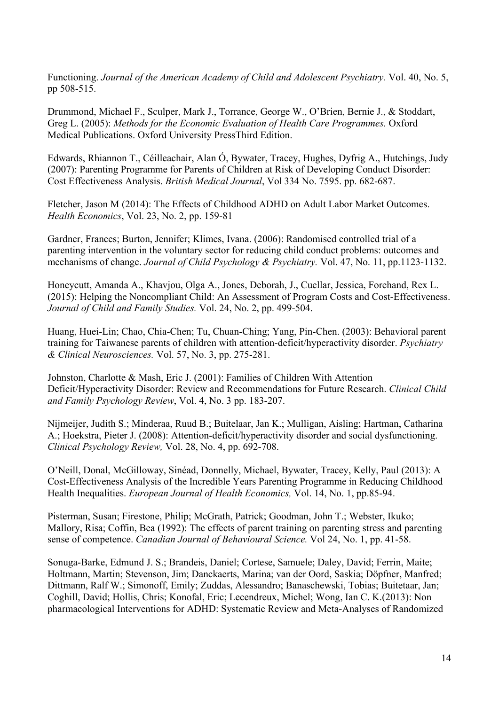Functioning. *Journal of the American Academy of Child and Adolescent Psychiatry.* Vol. 40, No. 5, pp 508-515.

Drummond, Michael F., Sculper, Mark J., Torrance, George W., O'Brien, Bernie J., & Stoddart, Greg L. (2005): *Methods for the Economic Evaluation of Health Care Programmes.* Oxford Medical Publications. Oxford University PressThird Edition.

Edwards, Rhiannon T., Céilleachair, Alan Ó, Bywater, Tracey, Hughes, Dyfrig A., Hutchings, Judy (2007): Parenting Programme for Parents of Children at Risk of Developing Conduct Disorder: Cost Effectiveness Analysis. *British Medical Journal*, Vol 334 No. 7595. pp. 682-687.

[Fletcher, Jason M \(2014\):](javascript:__doLinkPostBack() The Effects of Childhood ADHD on Adult Labor Market Outcomes. *[Health Economics](javascript:__doLinkPostBack()*, Vol. 23, No. 2, pp. 159-81

Gardner, Frances; Burton, Jennifer; Klimes, Ivana. (2006): Randomised controlled trial of a parenting intervention in the voluntary sector for reducing child conduct problems: outcomes and mechanisms of change. *Journal of Child Psychology & Psychiatry.* Vol. 47, No. 11, pp.1123-1132.

Honeycutt, Amanda A., Khavjou, Olga A., Jones, Deborah, J., Cuellar, Jessica, Forehand, Rex L. (2015): Helping the Noncompliant Child: An Assessment of Program Costs and Cost-Effectiveness. *Journal of Child and Family Studies.* Vol. 24, No. 2, pp. 499-504.

Huang, Huei-Lin; Chao, Chia-Chen; Tu, Chuan-Ching; Yang, Pin-Chen. (2003): Behavioral parent training for Taiwanese parents of children with attention-deficit/hyperactivity disorder. *Psychiatry & Clinical Neurosciences.* Vol. 57, No. 3, pp. 275-281.

Johnston, Charlotte & Mash, Eric J. (2001): Families of Children With Attention Deficit/Hyperactivity Disorder: Review and Recommendations for Future Research. *Clinical Child and Family Psychology Review*, Vol. 4, No. 3 pp. 183-207.

Nijmeijer, Judith S.; Minderaa, Ruud B.; Buitelaar, Jan K.; Mulligan, Aisling; Hartman, Catharina A.; Hoekstra, Pieter J. (2008): Attention-deficit/hyperactivity disorder and social dysfunctioning. *Clinical Psychology Review,* Vol. 28, No. 4, pp. 692-708.

O'Neill, Donal, McGilloway, Sinéad, Donnelly, Michael, Bywater, Tracey, Kelly, Paul (2013): A Cost-Effectiveness Analysis of the Incredible Years Parenting Programme in Reducing Childhood Health Inequalities. *European Journal of Health Economics,* Vol. 14, No. 1, pp.85-94.

Pisterman, Susan; Firestone, Philip; McGrath, Patrick; Goodman, John T.; Webster, Ikuko; Mallory, Risa; Coffin, Bea (1992): The effects of parent training on parenting stress and parenting sense of competence. *Canadian Journal of Behavioural Science.* Vol 24, No. 1, pp. 41-58.

Sonuga-Barke, Edmund J. S.; Brandeis, Daniel; Cortese, Samuele; Daley, David; Ferrin, Maite; Holtmann, Martin; Stevenson, Jim; Danckaerts, Marina; van der Oord, Saskia; Döpfner, Manfred; Dittmann, Ralf W.; Simonoff, Emily; Zuddas, Alessandro; Banaschewski, Tobias; Buitetaar, Jan; Coghill, David; Hollis, Chris; Konofal, Eric; Lecendreux, Michel; Wong, Ian C. K.(2013): Non pharmacological Interventions for ADHD: Systematic Review and Meta-Analyses of Randomized